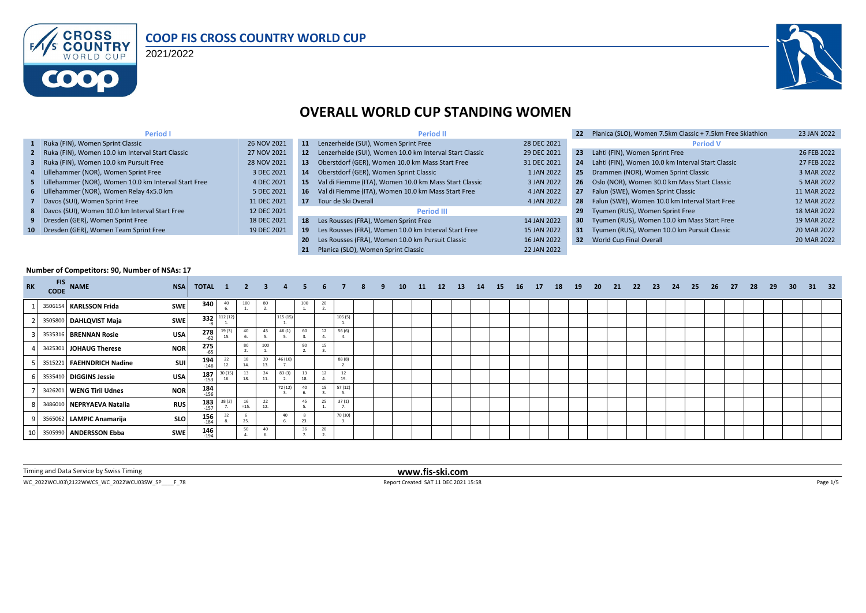

### **COOP FIS CROSS COUNTRY WORLD CUP**

2021/2022



### **OVERALL WORLD CUP STANDING WOMEN**

| <b>Period I</b>                                        |             |           | <b>Period II</b>                                           |             |                 | Planica (SLO), Women 7.5km Classic + 7.5km Free Skiathlon | 23 JAN 2022 |
|--------------------------------------------------------|-------------|-----------|------------------------------------------------------------|-------------|-----------------|-----------------------------------------------------------|-------------|
| 1 Ruka (FIN), Women Sprint Classic                     | 26 NOV 2021 | 11        | Lenzerheide (SUI), Women Sprint Free                       | 28 DEC 2021 |                 | <b>Period V</b>                                           |             |
| 2 Ruka (FIN), Women 10.0 km Interval Start Classic     | 27 NOV 2021 |           | 12 Lenzerheide (SUI), Women 10.0 km Interval Start Classic | 29 DEC 2021 | 23              | Lahti (FIN), Women Sprint Free                            | 26 FEB 2022 |
| 3 Ruka (FIN), Women 10.0 km Pursuit Free               | 28 NOV 2021 | 13        | Oberstdorf (GER), Women 10.0 km Mass Start Free            | 31 DEC 2021 | 24              | Lahti (FIN), Women 10.0 km Interval Start Classic         | 27 FEB 2022 |
| 4 Lillehammer (NOR), Women Sprint Free                 | 3 DEC 2021  | 14        | Oberstdorf (GER), Women Sprint Classic                     | 1 JAN 2022  | 25              | Drammen (NOR), Women Sprint Classic                       | 3 MAR 2022  |
| 5 Lillehammer (NOR), Women 10.0 km Interval Start Free | 4 DEC 2021  | -15       | Val di Fiemme (ITA), Women 10.0 km Mass Start Classic      | 3 JAN 2022  |                 | 26 Oslo (NOR), Women 30.0 km Mass Start Classic           | 5 MAR 2022  |
| 6 Lillehammer (NOR), Women Relay 4x5.0 km              | 5 DEC 2021  |           | 16 Val di Fiemme (ITA), Women 10.0 km Mass Start Free      | 4 JAN 2022  | 27              | Falun (SWE), Women Sprint Classic                         | 11 MAR 2022 |
| 7 Davos (SUI), Women Sprint Free                       | 11 DEC 2021 | 17        | Tour de Ski Overall                                        | 4 JAN 2022  | 28              | Falun (SWE), Women 10.0 km Interval Start Free            | 12 MAR 2022 |
| 8 Davos (SUI), Women 10.0 km Interval Start Free       | 12 DEC 2021 |           | <b>Period III</b>                                          |             | 29              | Tyumen (RUS), Women Sprint Free                           | 18 MAR 2022 |
| 9 Dresden (GER), Women Sprint Free                     | 18 DEC 2021 |           | 18 Les Rousses (FRA), Women Sprint Free                    | 14 JAN 2022 | 30 <sub>2</sub> | Tyumen (RUS), Women 10.0 km Mass Start Free               | 19 MAR 2022 |
| 10 Dresden (GER), Women Team Sprint Free               | 19 DEC 2021 | -19       | Les Rousses (FRA), Women 10.0 km Interval Start Free       | 15 JAN 2022 |                 | 31 Tyumen (RUS), Women 10.0 km Pursuit Classic            | 20 MAR 2022 |
|                                                        |             | <b>20</b> | Les Rousses (FRA), Women 10.0 km Pursuit Classic           | 16 JAN 2022 |                 | 32 World Cup Final Overall                                | 20 MAR 2022 |
|                                                        |             |           | Planica (SLO). Women Sprint Classic                        | 22 JAN 2022 |                 |                                                           |             |

#### **Number of Competitors: 90, Number of NSAs: 17**

| <b>RK</b> | <b>CODE</b> | FIS NAME                  | <b>NSA</b> | <b>TOTAL 1 2 3</b>   |              |              |           |         |           | 6  |           | 8 | 9. | 10 | 11 | 12 | <b>13</b> | 14 | 15 | <b>16</b> | 17 | 18 | 19 | - 20 | 21 | - 22 | - 23 | 24 | 25 | 26 | - 27 | 28 | 29 | 30 <sub>2</sub> | 31 | 32 |
|-----------|-------------|---------------------------|------------|----------------------|--------------|--------------|-----------|---------|-----------|----|-----------|---|----|----|----|----|-----------|----|----|-----------|----|----|----|------|----|------|------|----|----|----|------|----|----|-----------------|----|----|
|           |             | 3506154 KARLSSON Frida    | SWE        | 340                  | 40           | 100          | 80        |         | 100       | 20 |           |   |    |    |    |    |           |    |    |           |    |    |    |      |    |      |      |    |    |    |      |    |    |                 |    |    |
|           |             | 3505800 DAHLQVIST Maja    | SWE        |                      | 332 112 (12) |              |           | 115 (15 |           |    | 105(5)    |   |    |    |    |    |           |    |    |           |    |    |    |      |    |      |      |    |    |    |      |    |    |                 |    |    |
|           |             | 3535316 BRENNAN Rosie     | <b>USA</b> | $278$ <sub>-62</sub> | 19(3)<br>15. | 40           | 45        | 46(1)   | 60        | 12 | 56 (6)    |   |    |    |    |    |           |    |    |           |    |    |    |      |    |      |      |    |    |    |      |    |    |                 |    |    |
|           |             | 3425301 JOHAUG Therese    | <b>NOR</b> | $275$ <sub>-65</sub> |              | 80           | 100       |         | 80        | 15 |           |   |    |    |    |    |           |    |    |           |    |    |    |      |    |      |      |    |    |    |      |    |    |                 |    |    |
|           |             | 3515221 FAEHNDRICH Nadine | SUI        | 194<br>$-146$        | 12.          | 18<br>14.    | 20<br>13. | 46 (10) |           |    | 88 (8)    |   |    |    |    |    |           |    |    |           |    |    |    |      |    |      |      |    |    |    |      |    |    |                 |    |    |
|           |             | 3535410 DIGGINS Jessie    | <b>USA</b> | $187$<br>$153$       | 30 (15)      | 13<br>18.    | 24<br>11. | 83 (3)  | 13<br>18. | 12 | 12<br>19. |   |    |    |    |    |           |    |    |           |    |    |    |      |    |      |      |    |    |    |      |    |    |                 |    |    |
|           |             | 3426201 WENG Tiril Udnes  | <b>NOR</b> | $184$<br>$156$       |              |              |           | 72 (12) | 40        | 15 | 57(12)    |   |    |    |    |    |           |    |    |           |    |    |    |      |    |      |      |    |    |    |      |    |    |                 |    |    |
|           |             | 3486010 NEPRYAEVA Natalia | <b>RUS</b> | $183$<br>$157$       | 38(2)        | 16<br>$=15.$ | 22<br>12. |         | 45        | 25 | 37(1)     |   |    |    |    |    |           |    |    |           |    |    |    |      |    |      |      |    |    |    |      |    |    |                 |    |    |
|           |             | 3565062 LAMPIC Anamarija  | <b>SLO</b> | $156$<br>$184$       | 32           | 25.          |           | 40      |           |    | 70 (10)   |   |    |    |    |    |           |    |    |           |    |    |    |      |    |      |      |    |    |    |      |    |    |                 |    |    |
|           |             | 10 3505990 ANDERSSON Ebba | <b>SWE</b> | $146$ <sub>194</sub> |              | 50           | 40        |         | 36        | 20 |           |   |    |    |    |    |           |    |    |           |    |    |    |      |    |      |      |    |    |    |      |    |    |                 |    |    |

Timing and Data Service by Swiss Timing **www.fis-ski.com**

WC\_2022WCU03\2122WWCS\_WC\_2022WCU03SW\_SP\_\_\_\_F\_78 <br>
Report Created SAT 11 DEC 2021 15:58 Page 1/5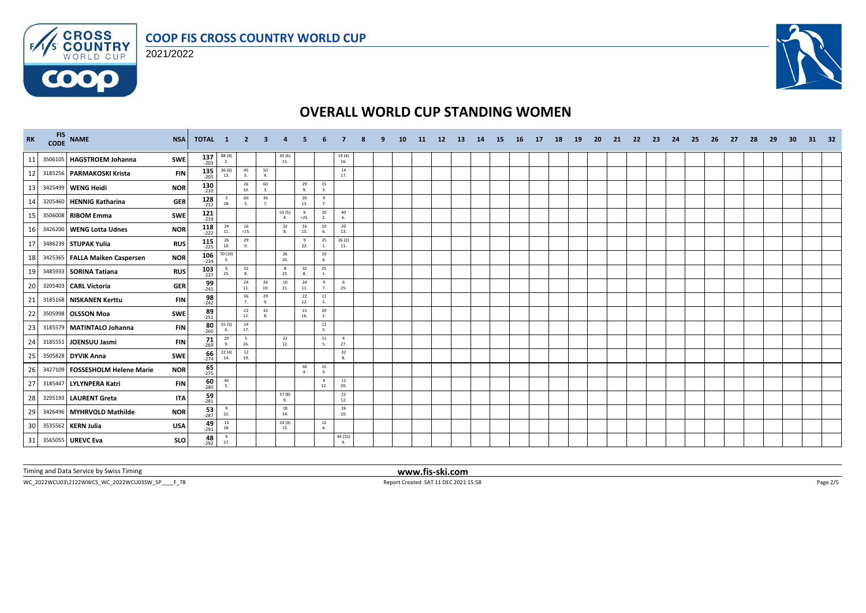





# **OVERALL WORLD CUP STANDING WOMEN**

| <b>RK</b> | FIS NAME<br><b>NSA</b>                        | TOTAL 1                            |                                          | $\blacksquare$ 2   | 3                                        |                          |                    |                       |                       |  | <b>10</b> | -11 | 12 <sup>2</sup> | -13 | 14 | 15 <sub>1</sub> | - 16 | 17 | 18 | <b>19</b> | -20 | -21 | 22 | -23 | -24 | 25 | 26 | 27 | -28 | -29 | 30 | 31 | 32 |
|-----------|-----------------------------------------------|------------------------------------|------------------------------------------|--------------------|------------------------------------------|--------------------------|--------------------|-----------------------|-----------------------|--|-----------|-----|-----------------|-----|----|-----------------|------|----|----|-----------|-----|-----|----|-----|-----|----|----|----|-----|-----|----|----|----|
| 11        | 3506105 HAGSTROEM Johanna<br>SWE              | $137$ <sub>203</sub>               | $\frac{88(8)}{2}$                        |                    |                                          | $\frac{30(6)}{11}$       |                    |                       | 19(4)<br>16.          |  |           |     |                 |     |    |                 |      |    |    |           |     |     |    |     |     |    |    |    |     |     |    |    |    |
| 12        | 3185256 PARMAKOSKI Krista                     | $135$<br>-205<br><b>FIN</b>        | 26(6)<br>13.                             | 45<br>5.           | 50<br>4.                                 |                          |                    |                       | 14<br>17.             |  |           |     |                 |     |    |                 |      |    |    |           |     |     |    |     |     |    |    |    |     |     |    |    |    |
| 13        | <b>NOR</b><br>3425499 WENG Heidi              | $130$ <sub>210</sub>               |                                          | 26<br>10.          | 60<br>3.                                 |                          | 29<br>9.           | 15<br>3.              |                       |  |           |     |                 |     |    |                 |      |    |    |           |     |     |    |     |     |    |    |    |     |     |    |    |    |
| 14        | 3205460 HENNIG Katharina                      | $128$ <sub>212</sub><br><b>GER</b> | $_{3}$<br>28.                            | 60<br>3.           | 36<br>7.                                 |                          | 20<br>13.          | 9<br>7.               |                       |  |           |     |                 |     |    |                 |      |    |    |           |     |     |    |     |     |    |    |    |     |     |    |    |    |
| 15        | <b>SWE</b><br>3506008 RIBOM Emma              | $121$ <sub>219</sub>               |                                          |                    |                                          | 55 (5)<br>$\overline{a}$ | - 6<br>$=25.$      | 20<br>2.              | 40<br>6.              |  |           |     |                 |     |    |                 |      |    |    |           |     |     |    |     |     |    |    |    |     |     |    |    |    |
| 16        | 3426200 WENG Lotta Udnes<br><b>NOR</b>        | $118$<br>-222                      | 24<br>11.                                | 16<br>$=15.$       |                                          | 32<br>8.                 | 16<br>15.          | $10\,$<br>6.          | 20<br>13.             |  |           |     |                 |     |    |                 |      |    |    |           |     |     |    |     |     |    |    |    |     |     |    |    |    |
| 17        | 3486239 STUPAK Yulia                          | $115$<br>-225<br><b>RUS</b>        | $\begin{array}{c} 26 \\ 10. \end{array}$ | 29<br>$\mathbf{q}$ |                                          |                          | 9<br>22.           | 25<br>1.              | 26(2)<br>11.          |  |           |     |                 |     |    |                 |      |    |    |           |     |     |    |     |     |    |    |    |     |     |    |    |    |
| 18        | <b>NOR</b><br>3425365 FALLA Maiken Caspersen  | $\frac{106}{234}$                  | 70 (10)<br>$\overline{3}$ .              |                    |                                          | 26<br>10.                |                    | $10\,$<br>6.          |                       |  |           |     |                 |     |    |                 |      |    |    |           |     |     |    |     |     |    |    |    |     |     |    |    |    |
| 19        | 3485933 SORINA Tatiana                        | 103<br><b>RUS</b><br>$-237$        | - 6<br>25.                               | 32<br>8.           |                                          | 8<br>23.                 | 32<br>$\mathbf{R}$ | 25<br>1.              |                       |  |           |     |                 |     |    |                 |      |    |    |           |     |     |    |     |     |    |    |    |     |     |    |    |    |
| 20        | 3205403 CARL Victoria                         | $\frac{99}{241}$<br><b>GER</b>     |                                          | 24<br>11.          | $\begin{array}{c} 26 \\ 10. \end{array}$ | 10<br>21.                | 24<br>11.          | 9<br>7.               | 6<br>25.              |  |           |     |                 |     |    |                 |      |    |    |           |     |     |    |     |     |    |    |    |     |     |    |    |    |
| 21        | 3185168 NISKANEN Kerttu                       | 98<br><b>FIN</b><br>$-242$         |                                          | 36<br>7.           | 29<br>9.                                 |                          | 22<br>12.          | $11\,$<br>5.          |                       |  |           |     |                 |     |    |                 |      |    |    |           |     |     |    |     |     |    |    |    |     |     |    |    |    |
| 22        | 3505998 OLSSON Moa<br><b>SWE</b>              | $89 - 251$                         |                                          | 22<br>12.          | 32<br>8.                                 |                          | 15<br>16.          | 20<br>2.              |                       |  |           |     |                 |     |    |                 |      |    |    |           |     |     |    |     |     |    |    |    |     |     |    |    |    |
| 23        | 3185579 MATINTALO Johanna                     | $\frac{80}{260}$<br><b>FIN</b>     | 55 (5)<br>4.                             | 14<br>17.          |                                          |                          |                    | 11<br>5.              |                       |  |           |     |                 |     |    |                 |      |    |    |           |     |     |    |     |     |    |    |    |     |     |    |    |    |
| 24        | 3185551 JOENSUU Jasmi                         | $71 - 269$<br><b>FIN</b>           | 29<br>9.                                 | - 5<br>26.         |                                          | 22<br>12.                |                    | 11<br>5.              | $\overline{4}$<br>27. |  |           |     |                 |     |    |                 |      |    |    |           |     |     |    |     |     |    |    |    |     |     |    |    |    |
| 25        | 3505828 DYVIK Anna<br><b>SWE</b>              | 66<br>$-274$                       | 22(4)<br>14.                             | 12<br>19.          |                                          |                          |                    |                       | 32<br>8.              |  |           |     |                 |     |    |                 |      |    |    |           |     |     |    |     |     |    |    |    |     |     |    |    |    |
| 26        | 3427109 FOSSESHOLM Helene Marie<br><b>NOR</b> | $\frac{65}{275}$                   |                                          |                    |                                          |                          | 50<br>$\mathbf{A}$ | 15<br>3.              |                       |  |           |     |                 |     |    |                 |      |    |    |           |     |     |    |     |     |    |    |    |     |     |    |    |    |
| 27        | 3185447 LYLYNPERA Katri                       | $\frac{60}{280}$<br><b>FIN</b>     | 45<br>5.                                 |                    |                                          |                          |                    | $\overline{4}$<br>12. | 11<br>20.             |  |           |     |                 |     |    |                 |      |    |    |           |     |     |    |     |     |    |    |    |     |     |    |    |    |
| 28        | 3295193 LAURENT Greta                         | $\frac{59}{281}$<br><b>ITA</b>     |                                          |                    |                                          | 37 (8)<br>9.             |                    |                       | 22<br>12.             |  |           |     |                 |     |    |                 |      |    |    |           |     |     |    |     |     |    |    |    |     |     |    |    |    |
| 29        | 3426496 MYHRVOLD Mathilde<br><b>NOR</b>       | $\frac{53}{287}$                   | 9<br>22.                                 |                    |                                          | 18<br>14.                |                    |                       | 26<br>10.             |  |           |     |                 |     |    |                 |      |    |    |           |     |     |    |     |     |    |    |    |     |     |    |    |    |
| 30        | 3535562 KERN Julia<br><b>USA</b>              | $49 - 291$                         | 13<br>18.                                |                    |                                          | 24(4)<br>13.             |                    | 12<br>4.              |                       |  |           |     |                 |     |    |                 |      |    |    |           |     |     |    |     |     |    |    |    |     |     |    |    |    |
| 31        | 3565055 UREVC Eva                             | $48 - 292$<br><b>SLO</b>           | $\overline{4}$<br>27.                    |                    |                                          |                          |                    |                       | 44 (15)               |  |           |     |                 |     |    |                 |      |    |    |           |     |     |    |     |     |    |    |    |     |     |    |    |    |

Timing and Data Service by Swiss Timing **www.fis-ski.com**

WC\_2022WCU03\2122WWCS\_WC\_2022WCU03SW\_SP\_\_\_\_F\_78 Report Created SAT 11 DEC 2021 15:58 Report Created SAT 11 DEC 2021 15:58 Page 2/5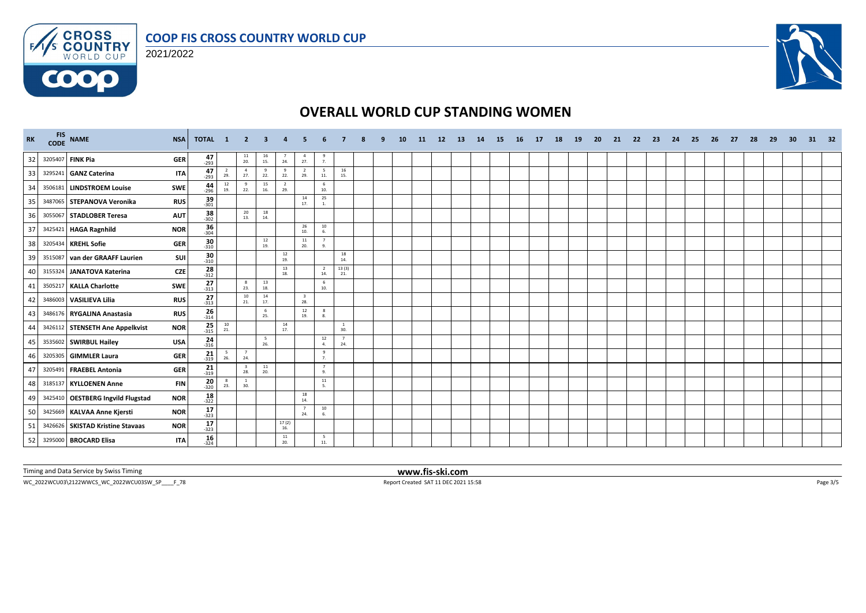

### 2021/2022



### **OVERALL WORLD CUP STANDING WOMEN**

| <b>RK</b> | FIS NAME                             | <b>NSA</b>                        | <b>TOTAL 1 2 3</b>                       |                                |                                          | 4                     |                                |                        |                       |  | 10 | <b>11</b> | 12 | <b>13</b> | 14 | -15 | - 16 | 17 | 18 | 19 | 20 | 21 | -22 | -23 | -24 | -25 | -26 | -27 | 28 | 29 | 30 | 31 | - 32 |
|-----------|--------------------------------------|-----------------------------------|------------------------------------------|--------------------------------|------------------------------------------|-----------------------|--------------------------------|------------------------|-----------------------|--|----|-----------|----|-----------|----|-----|------|----|----|----|----|----|-----|-----|-----|-----|-----|-----|----|----|----|----|------|
| 32        | 3205407 FINK Pia                     | $47 - 293$<br><b>GER</b>          |                                          | $\frac{11}{20}$                | $\begin{array}{c} 16 \\ 15. \end{array}$ | $\overline{7}$<br>24. | $\overline{4}$<br>27.          | $\frac{9}{7}$          |                       |  |    |           |    |           |    |     |      |    |    |    |    |    |     |     |     |     |     |     |    |    |    |    |      |
| 33        | 3295241 GANZ Caterina                | $47 - 293$<br><b>ITA</b>          | $\overline{2}$<br>29.                    | $\overline{4}$<br>27.          | 9<br>22.                                 | 9<br>22.              | $\overline{2}$<br>29.          | 5<br>11.               | 16<br>15.             |  |    |           |    |           |    |     |      |    |    |    |    |    |     |     |     |     |     |     |    |    |    |    |      |
| 34        | 3506181 LINDSTROEM Louise            | $\frac{44}{296}$<br>SWE           | 12<br>19.                                | 9<br>22.                       | 15<br>16.                                | $\overline{2}$<br>29. |                                | 6<br>10.               |                       |  |    |           |    |           |    |     |      |    |    |    |    |    |     |     |     |     |     |     |    |    |    |    |      |
| 35        | 3487065 STEPANOVA Veronika           | $39 - 301$<br><b>RUS</b>          |                                          |                                |                                          |                       | 14<br>17.                      | 25<br>$1$ .            |                       |  |    |           |    |           |    |     |      |    |    |    |    |    |     |     |     |     |     |     |    |    |    |    |      |
| 36        | 3055067 STADLOBER Teresa             | $\frac{38}{302}$<br><b>AUT</b>    |                                          | 20<br>13.                      | 18<br>14.                                |                       |                                |                        |                       |  |    |           |    |           |    |     |      |    |    |    |    |    |     |     |     |     |     |     |    |    |    |    |      |
| 37        | 3425421 HAGA Ragnhild                | $36 - 304$<br><b>NOR</b>          |                                          |                                |                                          |                       | 26<br>10.                      | $10\,$<br>6.           |                       |  |    |           |    |           |    |     |      |    |    |    |    |    |     |     |     |     |     |     |    |    |    |    |      |
| 38        | 3205434 KREHL Sofie                  | <b>GER</b><br>$-310$              | 30                                       |                                | 12<br>19.                                |                       | 11<br>20.                      | $\overline{7}$<br>9.   |                       |  |    |           |    |           |    |     |      |    |    |    |    |    |     |     |     |     |     |     |    |    |    |    |      |
| 39        | 3515087 van der GRAAFF Laurien       | SUI<br>$-310$                     | 30                                       |                                |                                          | 12<br>19.             |                                |                        | 18<br>14.             |  |    |           |    |           |    |     |      |    |    |    |    |    |     |     |     |     |     |     |    |    |    |    |      |
| 40        | 3155324 JANATOVA Katerina            | $28 - 312$<br><b>CZE</b>          |                                          |                                |                                          | 13<br>18.             |                                | $\overline{2}$<br>14.  | 13(3)<br>21.          |  |    |           |    |           |    |     |      |    |    |    |    |    |     |     |     |     |     |     |    |    |    |    |      |
| 41        | 3505217 KALLA Charlotte              | $\frac{27}{313}$<br>SWE           |                                          | 8<br>23.                       | 13<br>18.                                |                       |                                | 6<br>10.               |                       |  |    |           |    |           |    |     |      |    |    |    |    |    |     |     |     |     |     |     |    |    |    |    |      |
| 42        | 3486003 VASILIEVA Lilia              | $\frac{27}{-313}$<br><b>RUS</b>   |                                          | 10<br>21.                      | 14<br>17.                                |                       | $\overline{\mathbf{3}}$<br>28. |                        |                       |  |    |           |    |           |    |     |      |    |    |    |    |    |     |     |     |     |     |     |    |    |    |    |      |
| 43        | 3486176 RYGALINA Anastasia           | $\frac{26}{314}$<br><b>RUS</b>    |                                          |                                | 6<br>25.                                 |                       | 12<br>19.                      | 8<br>8.                |                       |  |    |           |    |           |    |     |      |    |    |    |    |    |     |     |     |     |     |     |    |    |    |    |      |
| 44        | 3426112 STENSETH Ane Appelkvist      | $25 - 315$<br><b>NOR</b>          | $\begin{array}{c} 10 \\ 21. \end{array}$ |                                |                                          | 14<br>17.             |                                |                        | $\mathbf{1}$<br>30.   |  |    |           |    |           |    |     |      |    |    |    |    |    |     |     |     |     |     |     |    |    |    |    |      |
| 45        | 3535602 SWIRBUL Hailey<br><b>USA</b> | $\frac{24}{316}$                  |                                          |                                | - 5<br>26.                               |                       |                                | $12\,$<br>4.           | $\overline{7}$<br>24. |  |    |           |    |           |    |     |      |    |    |    |    |    |     |     |     |     |     |     |    |    |    |    |      |
| 46        | 3205305 GIMMLER Laura                | $21$ <sub>319</sub><br><b>GER</b> | 5<br>26.                                 | 7<br>24.                       |                                          |                       |                                | 9<br>7 <sub>1</sub>    |                       |  |    |           |    |           |    |     |      |    |    |    |    |    |     |     |     |     |     |     |    |    |    |    |      |
| 47        | 3205491 FRAEBEL Antonia              | $\frac{21}{319}$<br><b>GER</b>    |                                          | $\overline{\mathbf{3}}$<br>28. | $\frac{11}{20}$                          |                       |                                | 7<br>9.                |                       |  |    |           |    |           |    |     |      |    |    |    |    |    |     |     |     |     |     |     |    |    |    |    |      |
| 48        | 3185137 KYLLOENEN Anne               | $20_{-320}$<br><b>FIN</b>         | - 8<br>23.                               | $1\,$<br>30.                   |                                          |                       |                                | $11\,$<br>5.           |                       |  |    |           |    |           |    |     |      |    |    |    |    |    |     |     |     |     |     |     |    |    |    |    |      |
| 49        | 3425410   OESTBERG Ingvild Flugstad  | $18 - 322$<br><b>NOR</b>          |                                          |                                |                                          |                       | 18<br>14.                      |                        |                       |  |    |           |    |           |    |     |      |    |    |    |    |    |     |     |     |     |     |     |    |    |    |    |      |
| 50        | 3425669 KALVAA Anne Kjersti          | 17<br><b>NOR</b><br>$-323$        |                                          |                                |                                          |                       | $\overline{7}$<br>24.          | 10<br>6.               |                       |  |    |           |    |           |    |     |      |    |    |    |    |    |     |     |     |     |     |     |    |    |    |    |      |
| 51        | 3426626 SKISTAD Kristine Stavaas     | $17 - 323$<br><b>NOR</b>          |                                          |                                |                                          | 17(2)<br>16.          |                                |                        |                       |  |    |           |    |           |    |     |      |    |    |    |    |    |     |     |     |     |     |     |    |    |    |    |      |
| 52        | 3295000 BROCARD Elisa                | $16 - 324$<br>ITA                 |                                          |                                |                                          | 11<br>20.             |                                | $5\overline{ }$<br>11. |                       |  |    |           |    |           |    |     |      |    |    |    |    |    |     |     |     |     |     |     |    |    |    |    |      |

Timing and Data Service by Swiss Timing **www.fis-ski.com**

WC\_2022WCU03\2122WWCS\_WC\_2022WCU03SW\_SP\_\_\_\_F\_78 Report Created SAT 11 DEC 2021 15:58 Page 3/5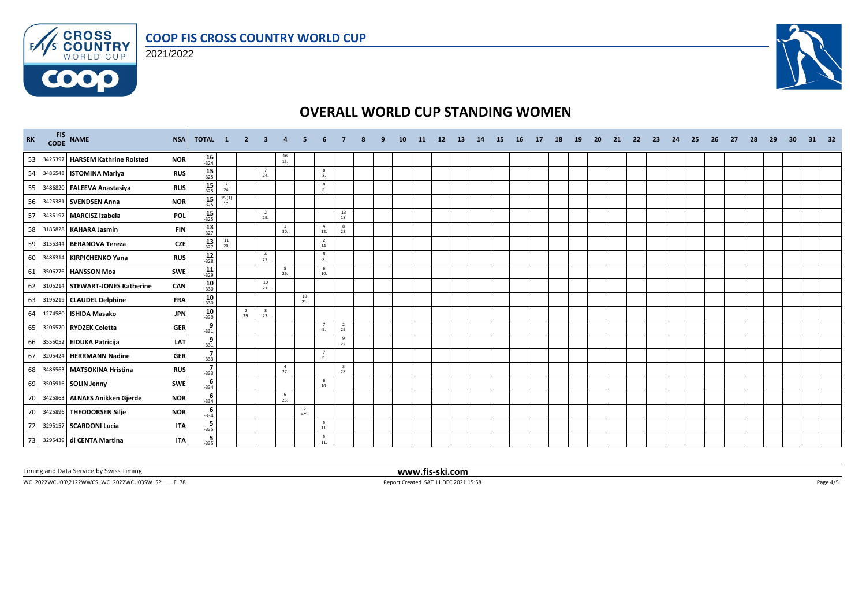





# **OVERALL WORLD CUP STANDING WOMEN**

| RK |         | FIS NAME<br><b>NSA</b>                        | TOTAL 1                                       |                 | $\overline{\phantom{0}}$ 2 | $\mathbf{3}$          | $\overline{4}$                           | 5.          |                             |                                |  | 10 | 11 | 12 | <b>13</b> | 14 | <b>15</b> | <b>16</b> | 17 | <b>18</b> | 19 | 20 | 21 | 22 | - 23 | -24 | 25 | 26 | -27 | 28 | - 29 | 30 | 31 | - 32 |
|----|---------|-----------------------------------------------|-----------------------------------------------|-----------------|----------------------------|-----------------------|------------------------------------------|-------------|-----------------------------|--------------------------------|--|----|----|----|-----------|----|-----------|-----------|----|-----------|----|----|----|----|------|-----|----|----|-----|----|------|----|----|------|
| 53 |         | 3425397 HARSEM Kathrine Rolsted<br><b>NOR</b> | $16 - 324$                                    |                 |                            |                       | $\begin{array}{c} 16 \\ 15. \end{array}$ |             |                             |                                |  |    |    |    |           |    |           |           |    |           |    |    |    |    |      |     |    |    |     |    |      |    |    |      |
| 54 |         | 3486548 ISTOMINA Mariya<br><b>RUS</b>         | $15 - 325$                                    |                 |                            | 24.                   |                                          |             | 8<br>8.                     |                                |  |    |    |    |           |    |           |           |    |           |    |    |    |    |      |     |    |    |     |    |      |    |    |      |
| 55 |         | 3486820 FALEEVA Anastasiya<br><b>RUS</b>      | $15 - 325$                                    | $\frac{7}{24}$  |                            |                       |                                          |             | 8<br>8.                     |                                |  |    |    |    |           |    |           |           |    |           |    |    |    |    |      |     |    |    |     |    |      |    |    |      |
| 56 |         | <b>NOR</b><br>3425381 SVENDSEN Anna           | 15<br>$-325$                                  | 15(1)<br>17.    |                            |                       |                                          |             |                             |                                |  |    |    |    |           |    |           |           |    |           |    |    |    |    |      |     |    |    |     |    |      |    |    |      |
| 57 |         | 3435197 MARCISZ Izabela<br><b>POL</b>         | $15 - 325$                                    |                 |                            | $\overline{2}$<br>29. |                                          |             |                             | 13<br>18.                      |  |    |    |    |           |    |           |           |    |           |    |    |    |    |      |     |    |    |     |    |      |    |    |      |
| 58 |         | 3185828 KAHARA Jasmin                         | $\frac{13}{327}$<br><b>FIN</b>                |                 |                            |                       | <sup>1</sup><br>30.                      |             | $\overline{4}$<br>12.       | $\mathbf{8}$<br>23.            |  |    |    |    |           |    |           |           |    |           |    |    |    |    |      |     |    |    |     |    |      |    |    |      |
| 59 | 3155344 | <b>BERANOVA Tereza</b>                        | $13 - 327$<br><b>CZE</b>                      | $\frac{11}{20}$ |                            |                       |                                          |             | $\overline{2}$<br>14.       |                                |  |    |    |    |           |    |           |           |    |           |    |    |    |    |      |     |    |    |     |    |      |    |    |      |
| 60 |         | 3486314 KIRPICHENKO Yana<br><b>RUS</b>        | $12$<br>$-328$                                |                 |                            | $\overline{4}$<br>27. |                                          |             | 8<br>8.                     |                                |  |    |    |    |           |    |           |           |    |           |    |    |    |    |      |     |    |    |     |    |      |    |    |      |
| 61 |         | 3506276 HANSSON Moa<br>SWE                    | $11$<br>-329                                  |                 |                            |                       | 5<br>26.                                 |             | 6<br>10.                    |                                |  |    |    |    |           |    |           |           |    |           |    |    |    |    |      |     |    |    |     |    |      |    |    |      |
| 62 |         | 3105214 STEWART-JONES Katherine<br>CAN        | 10<br>$-330$                                  |                 |                            | 10<br>21.             |                                          |             |                             |                                |  |    |    |    |           |    |           |           |    |           |    |    |    |    |      |     |    |    |     |    |      |    |    |      |
| 63 |         | 3195219 CLAUDEL Delphine<br><b>FRA</b>        | $10 - 330$                                    |                 |                            |                       |                                          | 10<br>21.   |                             |                                |  |    |    |    |           |    |           |           |    |           |    |    |    |    |      |     |    |    |     |    |      |    |    |      |
| 64 |         | 1274580 ISHIDA Masako                         | $10_{-330}$<br><b>JPN</b>                     |                 | $\overline{2}$<br>29.      | 8<br>23.              |                                          |             |                             |                                |  |    |    |    |           |    |           |           |    |           |    |    |    |    |      |     |    |    |     |    |      |    |    |      |
| 65 |         | 3205570 RYDZEK Coletta<br><b>GER</b>          | $\overline{\phantom{a}}_{-331}^{\phantom{+}}$ |                 |                            |                       |                                          |             | 7<br>9.                     | $\overline{2}$<br>29.          |  |    |    |    |           |    |           |           |    |           |    |    |    |    |      |     |    |    |     |    |      |    |    |      |
| 66 |         | 3555052 EIDUKA Patricija                      | $\frac{9}{-331}$<br>LAT                       |                 |                            |                       |                                          |             |                             | 9<br>22.                       |  |    |    |    |           |    |           |           |    |           |    |    |    |    |      |     |    |    |     |    |      |    |    |      |
| 67 |         | 3205424 HERRMANN Nadine<br><b>GER</b>         | $\frac{7}{-333}$                              |                 |                            |                       |                                          |             | $7\overline{ }$<br>$\alpha$ |                                |  |    |    |    |           |    |           |           |    |           |    |    |    |    |      |     |    |    |     |    |      |    |    |      |
| 68 | 3486563 | <b>MATSOKINA Hristina</b><br><b>RUS</b>       | $\frac{7}{-333}$                              |                 |                            |                       | $\overline{4}$<br>27.                    |             |                             | $\overline{\mathbf{3}}$<br>28. |  |    |    |    |           |    |           |           |    |           |    |    |    |    |      |     |    |    |     |    |      |    |    |      |
| 69 |         | 3505916 SOLIN Jenny<br><b>SWE</b>             | $-334$                                        |                 |                            |                       |                                          |             | 6<br>10.                    |                                |  |    |    |    |           |    |           |           |    |           |    |    |    |    |      |     |    |    |     |    |      |    |    |      |
| 70 |         | 3425863 ALNAES Anikken Gjerde<br><b>NOR</b>   | $rac{6}{-334}$                                |                 |                            |                       | 6<br>25.                                 |             |                             |                                |  |    |    |    |           |    |           |           |    |           |    |    |    |    |      |     |    |    |     |    |      |    |    |      |
| 70 |         | 3425896 THEODORSEN Silje<br><b>NOR</b>        | 6<br>$-334$                                   |                 |                            |                       |                                          | 6<br>$=25.$ |                             |                                |  |    |    |    |           |    |           |           |    |           |    |    |    |    |      |     |    |    |     |    |      |    |    |      |
| 72 |         | 3295157 SCARDONI Lucia                        | $-335$<br><b>ITA</b>                          |                 |                            |                       |                                          |             | 5<br>$11.$                  |                                |  |    |    |    |           |    |           |           |    |           |    |    |    |    |      |     |    |    |     |    |      |    |    |      |
| 73 |         | 3295439 di CENTA Martina                      | $-335$<br><b>ITA</b>                          |                 |                            |                       |                                          |             | 5<br>11.                    |                                |  |    |    |    |           |    |           |           |    |           |    |    |    |    |      |     |    |    |     |    |      |    |    |      |

Timing and Data Service by Swiss Timing **www.fis-ski.com**

WC\_2022WCU03\2122WWCS\_WC\_2022WCU03SW\_SP\_\_\_\_F\_78 Report Created SAT 11 DEC 2021 15:58 Report Created SAT 11 DEC 2021 15:58 Page 4/5